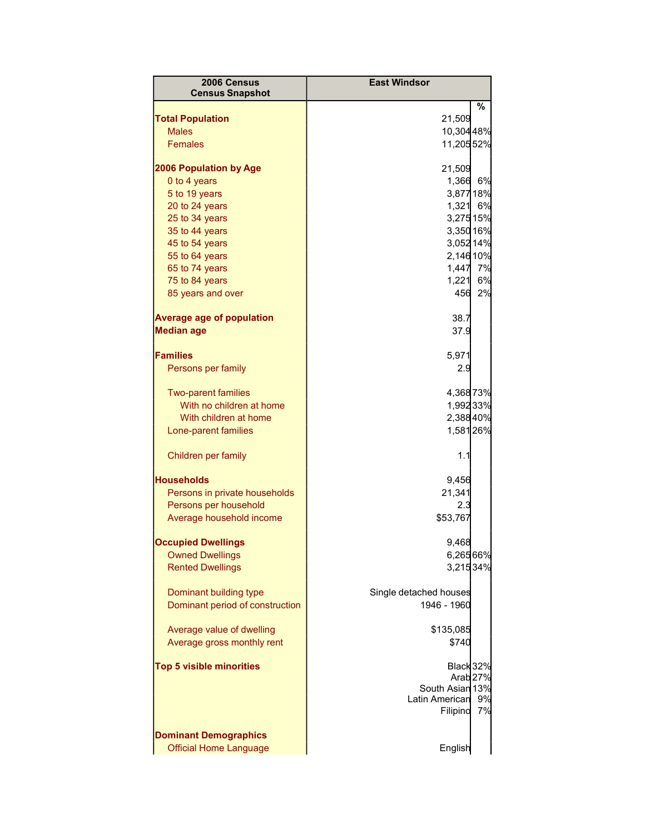| 2006 Census                             | <b>East Windsor</b>                    |        |
|-----------------------------------------|----------------------------------------|--------|
| <b>Census Snapshot</b>                  |                                        |        |
|                                         |                                        | %      |
| <b>Total Population</b><br><b>Males</b> | 21,509<br>10,304 48%                   |        |
| <b>Females</b>                          | 11,205 52%                             |        |
|                                         |                                        |        |
| 2006 Population by Age                  | 21,509                                 |        |
| 0 to 4 years                            | 1,366 6%                               |        |
| 5 to 19 years                           | 3,87718%                               |        |
| 20 to 24 years                          | 1,321 6%                               |        |
| 25 to 34 years                          | 3,275 15%                              |        |
| 35 to 44 years                          | 3,350 16%                              |        |
| 45 to 54 years                          | 3,052 14%                              |        |
| 55 to 64 years                          | 2,146 10%                              |        |
| 65 to 74 years                          | 1,447 7%                               |        |
| 75 to 84 years                          | 1,221 6%                               |        |
| 85 years and over                       |                                        | 456 2% |
| <b>Average age of population</b>        | 38.7                                   |        |
| <b>Median age</b>                       | 37.9                                   |        |
|                                         |                                        |        |
| <b>Families</b>                         | 5,971                                  |        |
| Persons per family                      | 2.9                                    |        |
| <b>Two-parent families</b>              | 4,36873%                               |        |
| With no children at home                | 1,99233%                               |        |
| With children at home                   | 2,38840%                               |        |
| Lone-parent families                    | 1,58126%                               |        |
| Children per family                     | 1.1                                    |        |
|                                         |                                        |        |
| <b>Households</b>                       | 9,456                                  |        |
| Persons in private households           | 21,341                                 |        |
| Persons per household                   | 2.3                                    |        |
| Average household income                | \$53,767                               |        |
| <b>Occupied Dwellings</b>               | 9,468                                  |        |
| <b>Owned Dwellings</b>                  | 6,26566%                               |        |
| <b>Rented Dwellings</b>                 | 3,21534%                               |        |
| Dominant building type                  | Single detached houses                 |        |
| Dominant period of construction         | 1946 - 1960                            |        |
|                                         |                                        |        |
| Average value of dwelling               | \$135,085                              |        |
| Average gross monthly rent              | \$740                                  |        |
|                                         |                                        |        |
| <b>Top 5 visible minorities</b>         | Black 32%                              |        |
|                                         | Arab <sub>27%</sub><br>South Asian 13% |        |
|                                         | Latin American                         | 9%     |
|                                         | Filipino                               | 7%     |
|                                         |                                        |        |
| <b>Dominant Demographics</b>            |                                        |        |
| <b>Official Home Language</b>           | English                                |        |